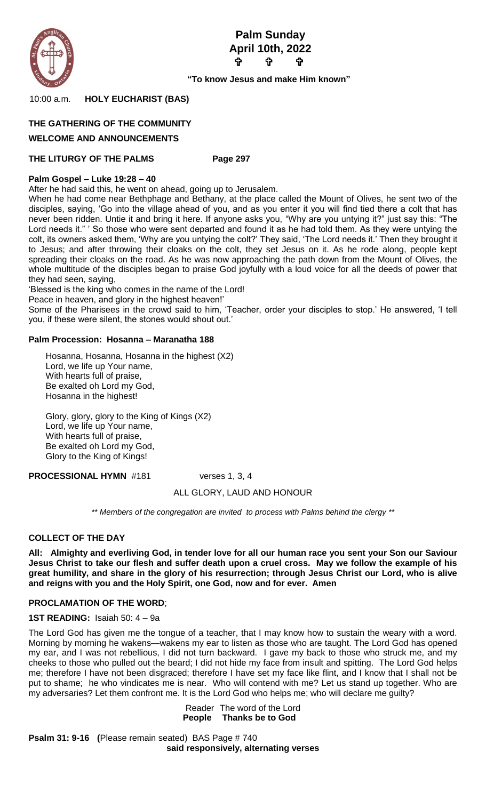

# **Palm Sunday April 10th, 2022 ታ ቀ**

# **"To know Jesus and make Him known"**

# 10:00 a.m. **HOLY EUCHARIST (BAS)**

# **THE GATHERING OF THE COMMUNITY**

# **WELCOME AND ANNOUNCEMENTS**

# **THE LITURGY OF THE PALMS Page 297**

# **Palm Gospel – Luke 19:28 – 40**

After he had said this, he went on ahead, going up to Jerusalem.

When he had come near Bethphage and Bethany, at the place called the Mount of Olives, he sent two of the disciples, saying, 'Go into the village ahead of you, and as you enter it you will find tied there a colt that has never been ridden. Untie it and bring it here. If anyone asks you, "Why are you untying it?" just say this: "The Lord needs it." ' So those who were sent departed and found it as he had told them. As they were untying the colt, its owners asked them, 'Why are you untying the colt?' They said, 'The Lord needs it.' Then they brought it to Jesus; and after throwing their cloaks on the colt, they set Jesus on it. As he rode along, people kept spreading their cloaks on the road. As he was now approaching the path down from the Mount of Olives, the whole multitude of the disciples began to praise God joyfully with a loud voice for all the deeds of power that they had seen, saying,

'Blessed is the king who comes in the name of the Lord!

Peace in heaven, and glory in the highest heaven!'

Some of the Pharisees in the crowd said to him, 'Teacher, order your disciples to stop.' He answered, 'I tell you, if these were silent, the stones would shout out.'

# **Palm Procession: Hosanna – Maranatha 188**

Hosanna, Hosanna, Hosanna in the highest (X2) Lord, we life up Your name, With hearts full of praise, Be exalted oh Lord my God, Hosanna in the highest!

Glory, glory, glory to the King of Kings (X2) Lord, we life up Your name, With hearts full of praise, Be exalted oh Lord my God, Glory to the King of Kings!

## **PROCESSIONAL HYMN** #181 verses 1, 3, 4

# ALL GLORY, LAUD AND HONOUR

*\*\* Members of the congregation are invited to process with Palms behind the clergy \*\**

# **COLLECT OF THE DAY**

**All: Almighty and everliving God, in tender love for all our human race you sent your Son our Saviour Jesus Christ to take our flesh and suffer death upon a cruel cross. May we follow the example of his great humility, and share in the glory of his resurrection; through Jesus Christ our Lord, who is alive and reigns with you and the Holy Spirit, one God, now and for ever. Amen**

# **PROCLAMATION OF THE WORD**;

**1ST READING:** Isaiah 50: 4 – 9a

The Lord God has given me the tongue of a teacher, that I may know how to sustain the weary with a word. Morning by morning he wakens—wakens my ear to listen as those who are taught. The Lord God has opened my ear, and I was not rebellious, I did not turn backward. I gave my back to those who struck me, and my cheeks to those who pulled out the beard; I did not hide my face from insult and spitting. The Lord God helps me; therefore I have not been disgraced; therefore I have set my face like flint, and I know that I shall not be put to shame; he who vindicates me is near. Who will contend with me? Let us stand up together. Who are my adversaries? Let them confront me. It is the Lord God who helps me; who will declare me guilty?

> Reader The word of the Lord  **People Thanks be to God**

**Psalm 31: 9-16 (**Please remain seated) BAS Page # 740 **said responsively, alternating verses**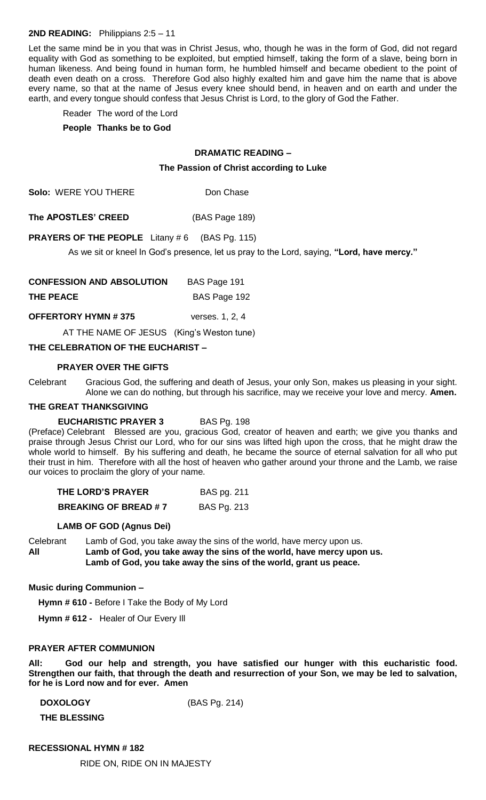## **2ND READING:** Philippians 2:5 – 11

Let the same mind be in you that was in Christ Jesus, who, though he was in the form of God, did not regard equality with God as something to be exploited, but emptied himself, taking the form of a slave, being born in human likeness. And being found in human form, he humbled himself and became obedient to the point of death even death on a cross. Therefore God also highly exalted him and gave him the name that is above every name, so that at the name of Jesus every knee should bend, in heaven and on earth and under the earth, and every tongue should confess that Jesus Christ is Lord, to the glory of God the Father.

| Reader The word of the Lord |
|-----------------------------|
|-----------------------------|

**People Thanks be to God**

# **DRAMATIC READING –**

#### **The Passion of Christ according to Luke**

**Solo:** WERE YOU THERE Don Chase

**The APOSTLES' CREED** (BAS Page 189)

# **PRAYERS OF THE PEOPLE** Litany # 6 (BAS Pg. 115)

As we sit or kneel In God's presence, let us pray to the Lord, saying, **"Lord, have mercy."**

| <b>CONFESSION AND ABSOLUTION</b> | BAS Page 191    |
|----------------------------------|-----------------|
| THE PEACE                        | BAS Page 192    |
| <b>OFFERTORY HYMN #375</b>       | verses. 1, 2, 4 |

AT THE NAME OF JESUS (King's Weston tune)

## **THE CELEBRATION OF THE EUCHARIST –**

#### **PRAYER OVER THE GIFTS**

Celebrant Gracious God, the suffering and death of Jesus, your only Son, makes us pleasing in your sight. Alone we can do nothing, but through his sacrifice, may we receive your love and mercy. **Amen.**

#### **THE GREAT THANKSGIVING**

**EUCHARISTIC PRAYER 3** BAS Pg. 198

(Preface) Celebrant Blessed are you, gracious God, creator of heaven and earth; we give you thanks and praise through Jesus Christ our Lord, who for our sins was lifted high upon the cross, that he might draw the whole world to himself. By his suffering and death, he became the source of eternal salvation for all who put their trust in him. Therefore with all the host of heaven who gather around your throne and the Lamb, we raise our voices to proclaim the glory of your name.

| THE LORD'S PRAYER           | BAS pg. 211        |
|-----------------------------|--------------------|
| <b>BREAKING OF BREAD #7</b> | <b>BAS Pg. 213</b> |

## **LAMB OF GOD (Agnus Dei)**

Celebrant Lamb of God, you take away the sins of the world, have mercy upon us. **All Lamb of God, you take away the sins of the world, have mercy upon us. Lamb of God, you take away the sins of the world, grant us peace.** 

## **Music during Communion –**

 **Hymn # 610 -** Before I Take the Body of My Lord

 **Hymn # 612 -** Healer of Our Every Ill

#### **PRAYER AFTER COMMUNION**

**All: God our help and strength, you have satisfied our hunger with this eucharistic food. Strengthen our faith, that through the death and resurrection of your Son, we may be led to salvation, for he is Lord now and for ever. Amen**

**DOXOLOGY** (BAS Pg. 214)

**THE BLESSING**

#### **RECESSIONAL HYMN # 182**

RIDE ON, RIDE ON IN MAJESTY